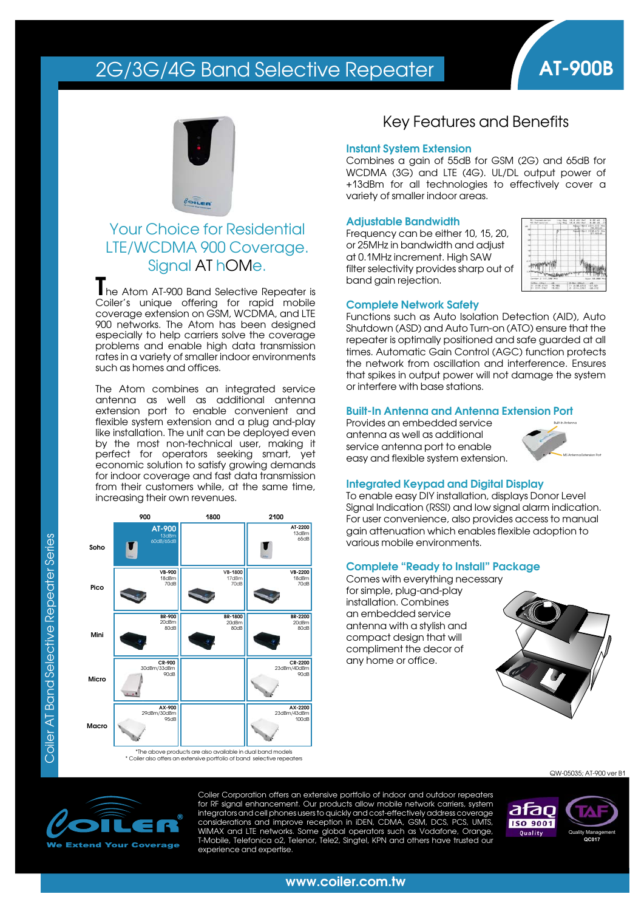# 2G/3G/4G Band Selective Repeater **AT-900B**



### Your Choice for Residential LTE/WCDMA 900 Coverage. Signal AT hOMe.

**T**he Atom AT-900 Band Selective Repeater is Coiler's unique offering for rapid mobile coverage extension on GSM, WCDMA, and LTE 900 networks. The Atom has been designed especially to help carriers solve the coverage problems and enable high data transmission rates in a variety of smaller indoor environments such as homes and offices.

The Atom combines an integrated service antenna as well as additional antenna extension port to enable convenient and flexible system extension and a plug and-play like installation. The unit can be deployed even by the most non-technical user, making it perfect for operators seeking smart, yet economic solution to satisfy growing demands for indoor coverage and fast data transmission from their customers while, at the same time, increasing their own revenues.



### Key Features and Benefits

#### **Instant System Extension**

Combines a gain of 55dB for GSM (2G) and 65dB for WCDMA (3G) and LTE (4G). UL/DL output power of +13dBm for all technologies to effectively cover a variety of smaller indoor areas.

#### **Adjustable Bandwidth**

Frequency can be either 10, 15, 20, or 25MHz in bandwidth and adjust at 0.1MHz increment. High SAW filter selectivity provides sharp out of band gain rejection.



#### **Complete Network Safety**

Functions such as Auto Isolation Detection (AID), Auto Shutdown (ASD) and Auto Turn-on (ATO) ensure that the repeater is optimally positioned and safe guarded at all times. Automatic Gain Control (AGC) function protects the network from oscillation and interference. Ensures that spikes in output power will not damage the system or interfere with base stations.

#### **Built-In Antenna and Antenna Extension Port**

Provides an embedded service antenna as well as additional service antenna port to enable easy and flexible system extension.



### **Integrated Keypad and Digital Display**

To enable easy DIY installation, displays Donor Level Signal Indication (RSSI) and low signal alarm indication. For user convenience, also provides access to manual gain attenuation which enables flexible adoption to various mobile environments.

#### **Complete "Ready to Install" Package**

Comes with everything necessary for simple, plug-and-play installation. Combines an embedded service antenna with a stylish and compact design that will compliment the decor of any home or office.



QW-05035; AT-900 ver B1



Coiler Corporation offers an extensive portfolio of indoor and outdoor repeaters for RF signal enhancement. Our products allow mobile network carriers, system integrators and cell phones users to quickly and cost-effectively address coverage considerations and improve reception in iDEN, CDMA, GSM, DCS, PCS, UMTS, WiMAX and LTE networks. Some global operators such as Vodafone, Orange, T-Mobile, Telefonica o2, Telenor, Tele2, Singtel, KPN and others have trusted our experience and expertise



#### **www.coiler.com.tw**